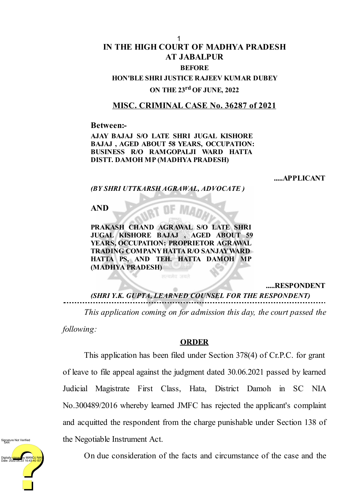## **IN THE HIGH COURT OF MADHYA PRADESH AT JABALPUR BEFORE HON'BLE SHRI JUSTICE RAJEEV KUMAR DUBEY**

## **ON THE 23 rd OF JUNE, 2022**

## **MISC. CRIMINAL CASE No. 36287 of 2021**

**Between:-**

**AJAY BAJAJ S/O LATE SHRI JUGAL KISHORE BAJAJ , AGED ABOUT 58 YEARS, OCCUPATION: BUSINESS R/O RAMGOPALJI WARD HATTA DISTT. DAMOH MP (MADHYA PRADESH)**

**.....APPLICANT**

*(BY SHRI UTTKARSH AGRAWAL, ADVOCATE )*

**AND**

**PRAKASH CHAND AGRAWAL S/O LATE SHRI JUGAL KISHORE BAJAJ , AGED ABOUT 59 YEARS, OCCUPATION: PROPRIETOR AGRAWAL TRADING COMPANYHATTA R/O SANJAYWARD HATTA PS, AND TEH. HATTA DAMOH MP (MADHYA PRADESH)**

सत्यमेव जयते

**.....RESPONDENT**

*(SHRI Y.K. GUPTA, LEARNED COUNSEL FOR THE RESPONDENT)*

*This application coming on for admission this day, the court passed the following:*

## **ORDER**

This application has been filed under Section 378(4) of Cr.P.C. for grant of leave to file appeal against the judgment dated 30.06.2021 passed by learned Judicial Magistrate First Class, Hata, District Damoh in SC NIA No.300489/2016 whereby learned JMFC has rejected the applicant's complaint and acquitted the respondent from the charge punishable under Section 138 of the Negotiable Instrument Act.



On due consideration of the facts and circumstance of the case and the